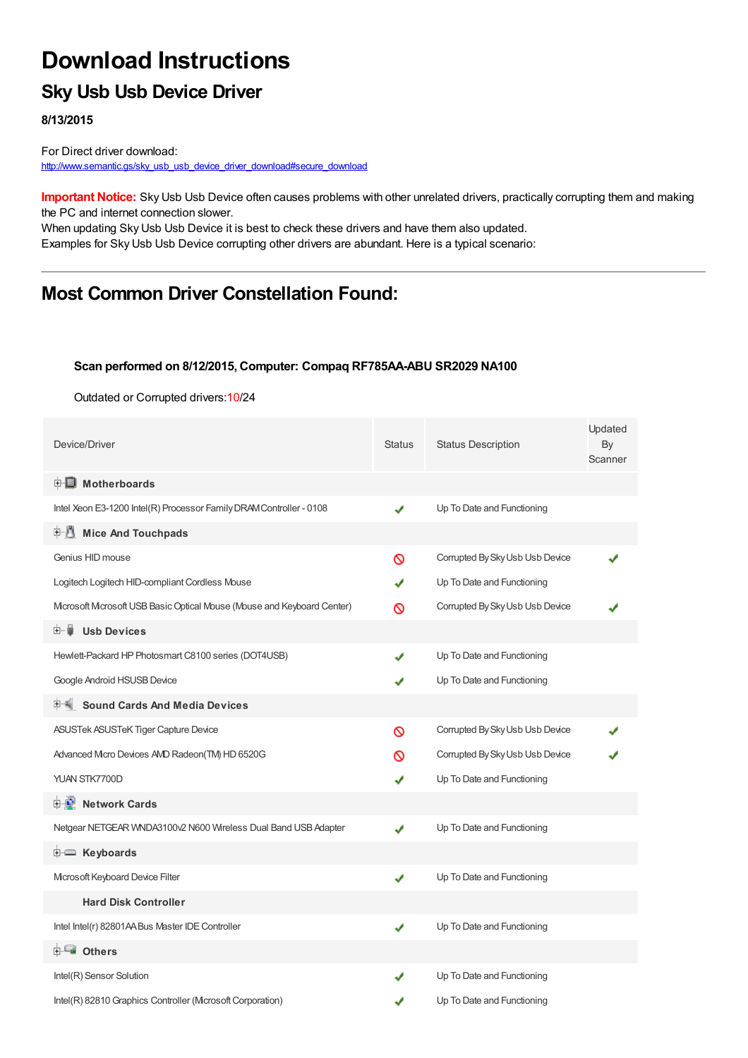# **Download Instructions**

## **Sky Usb Usb Device Driver**

**8/13/2015**

For Direct driver download: [http://www.semantic.gs/sky\\_usb\\_usb\\_device\\_driver\\_download#secure\\_download](http://www.semantic.gs/sky_usb_usb_device_driver_download#secure_download)

**Important Notice:** Sky Usb Usb Device often causes problems with other unrelated drivers, practically corrupting them and making the PC and internet connection slower.

When updating Sky Usb Usb Device it is best to check these drivers and have them also updated. Examples for Sky Usb Usb Device corrupting other drivers are abundant. Here is a typical scenario:

## **Most Common Driver Constellation Found:**

#### **Scan performed on 8/12/2015, Computer: Compaq RF785AA-ABU SR2029 NA100**

Outdated or Corrupted drivers:10/24

| Device/Driver                                                         | <b>Status</b> | <b>Status Description</b>       | Updated<br>By<br>Scanner |
|-----------------------------------------------------------------------|---------------|---------------------------------|--------------------------|
| <b>E</b> Motherboards                                                 |               |                                 |                          |
| Intel Xeon E3-1200 Intel(R) Processor Family DRAM Controller - 0108   | ✔             | Up To Date and Functioning      |                          |
| <b>Mice And Touchpads</b>                                             |               |                                 |                          |
| Genius HID mouse                                                      | ര             | Corrupted By Sky Usb Usb Device |                          |
| Logitech Logitech HID-compliant Cordless Mouse                        | J             | Up To Date and Functioning      |                          |
| Mcrosoft Mcrosoft USB Basic Optical Mouse (Mouse and Keyboard Center) | ര             | Corrupted By Sky Usb Usb Device |                          |
| <b>Usb Devices</b><br>⊞…⊜                                             |               |                                 |                          |
| Hewlett-Packard HP Photosmart C8100 series (DOT4USB)                  | J             | Up To Date and Functioning      |                          |
| Google Android HSUSB Device                                           | ✔             | Up To Date and Functioning      |                          |
| <b>Sound Cards And Media Devices</b>                                  |               |                                 |                          |
| ASUSTek ASUSTeK Tiger Capture Device                                  | Ø             | Corrupted By Sky Usb Usb Device |                          |
| Advanced Micro Devices AVD Radeon(TM) HD 6520G                        | ര             | Corrupted By Sky Usb Usb Device |                          |
| YUAN STK7700D                                                         | ✔             | Up To Date and Functioning      |                          |
| <b>E</b> Network Cards                                                |               |                                 |                          |
| Netgear NETGEAR WNDA3100v2 N600 Wireless Dual Band USB Adapter        | ✔             | Up To Date and Functioning      |                          |
| <b>i E</b> Keyboards                                                  |               |                                 |                          |
| Microsoft Keyboard Device Filter                                      | ✔             | Up To Date and Functioning      |                          |
| <b>Hard Disk Controller</b>                                           |               |                                 |                          |
| Intel Intel(r) 82801AA Bus Master IDE Controller                      | ✔             | Up To Date and Functioning      |                          |
| ⊟ <sup>…⊑</sup> ∎ Others                                              |               |                                 |                          |
| Intel(R) Sensor Solution                                              | J             | Up To Date and Functioning      |                          |
| Intel(R) 82810 Graphics Controller (Mcrosoft Corporation)             | J             | Up To Date and Functioning      |                          |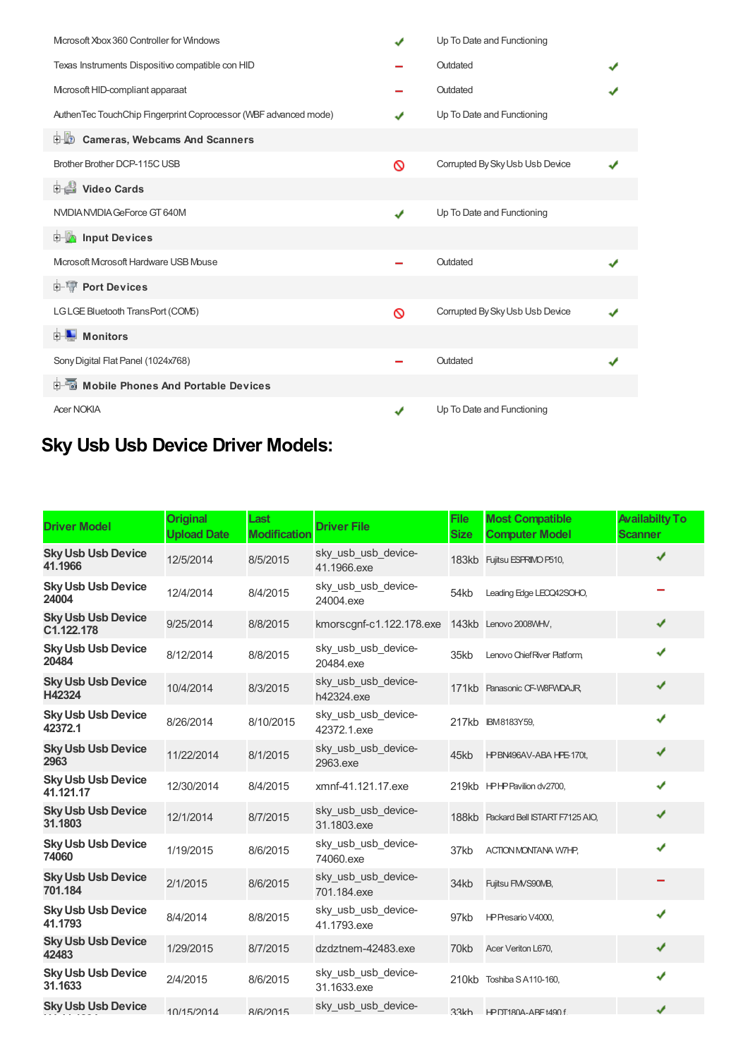| Microsoft Xbox 360 Controller for Windows                       | J | Up To Date and Functioning      |  |
|-----------------------------------------------------------------|---|---------------------------------|--|
| Texas Instruments Dispositivo compatible con HID                |   | Outdated                        |  |
| Mcrosoft HID-compliant apparaat                                 |   | Outdated                        |  |
| AuthenTec TouchChip Fingerprint Coprocessor (WBF advanced mode) |   | Up To Date and Functioning      |  |
| <b>Cameras, Webcams And Scanners</b><br>由业                      |   |                                 |  |
| Brother Brother DCP-115C USB                                    | Ø | Corrupted By Sky Usb Usb Device |  |
| Video Cards                                                     |   |                                 |  |
| NVIDIA NVIDIA GeForce GT 640M                                   | ✔ | Up To Date and Functioning      |  |
| <b>Devices</b> Input Devices                                    |   |                                 |  |
| Microsoft Microsoft Hardware USB Mouse                          |   | Outdated                        |  |
| <b>E-TP</b> Port Devices                                        |   |                                 |  |
| LGLGE Bluetooth TransPort (COM5)                                | Ø | Corrupted By Sky Usb Usb Device |  |
| <b>E</b> Monitors                                               |   |                                 |  |
| Sony Digital Flat Panel (1024x768)                              |   | Outdated                        |  |
| 中国 Mobile Phones And Portable Devices                           |   |                                 |  |
| <b>Acer NOKIA</b>                                               | ✔ | Up To Date and Functioning      |  |

# **Sky Usb Usb Device Driver Models:**

| <b>Driver Model</b>                     | <b>Original</b><br><b>Upload Date</b> | Last<br><b>Modification</b> | <b>Driver File</b>                             | <b>File</b><br><b>Size</b> | <b>Most Compatible</b><br><b>Computer Model</b> | <b>Availabilty To</b><br><b>Scanner</b> |
|-----------------------------------------|---------------------------------------|-----------------------------|------------------------------------------------|----------------------------|-------------------------------------------------|-----------------------------------------|
| <b>Sky Usb Usb Device</b><br>41.1966    | 12/5/2014                             | 8/5/2015                    | sky_usb_usb_device-<br>41.1966.exe             |                            | 183kb Fujitsu ESPRIMO P510,                     | ✔                                       |
| <b>Sky Usb Usb Device</b><br>24004      | 12/4/2014                             | 8/4/2015                    | sky_usb_usb_device-<br>24004.exe               | 54kb                       | Leading Edge LEOQ42SOHO,                        |                                         |
| <b>Sky Usb Usb Device</b><br>C1.122.178 | 9/25/2014                             | 8/8/2015                    | kmorscgnf-c1.122.178.exe 143kb Lenovo 2008WHV, |                            |                                                 | ✔                                       |
| <b>Sky Usb Usb Device</b><br>20484      | 8/12/2014                             | 8/8/2015                    | sky_usb_usb_device-<br>20484.exe               | 35kb                       | Lenovo Chief River Platform                     | ✔                                       |
| <b>Sky Usb Usb Device</b><br>H42324     | 10/4/2014                             | 8/3/2015                    | sky usb usb device-<br>h42324.exe              |                            | 171kb Panasonic CF-W8FWDAJR,                    | ✔                                       |
| <b>Sky Usb Usb Device</b><br>42372.1    | 8/26/2014                             | 8/10/2015                   | sky_usb_usb_device-<br>42372.1.exe             |                            | 217kb IBM8183Y59,                               | ✔                                       |
| <b>Sky Usb Usb Device</b><br>2963       | 11/22/2014                            | 8/1/2015                    | sky usb usb device-<br>2963.exe                | 45kb                       | HP BN496AV-ABA HPE-170t,                        | ✔                                       |
| <b>Sky Usb Usb Device</b><br>41.121.17  | 12/30/2014                            | 8/4/2015                    | xmnf-41.121.17.exe                             |                            | 219kb HPHP Pavilion dv2700,                     | ✔                                       |
| <b>Sky Usb Usb Device</b><br>31.1803    | 12/1/2014                             | 8/7/2015                    | sky_usb_usb_device-<br>31.1803.exe             |                            | 188kb Packard Bell ISTART F7125 AIO,            | ✔                                       |
| <b>Sky Usb Usb Device</b><br>74060      | 1/19/2015                             | 8/6/2015                    | sky_usb_usb_device-<br>74060.exe               | 37kb                       | <b>ACTION MONTANA W7HP,</b>                     | ✔                                       |
| <b>Sky Usb Usb Device</b><br>701.184    | 2/1/2015                              | 8/6/2015                    | sky_usb_usb_device-<br>701.184.exe             | 34kb                       | Fujitsu FMVS90MB,                               |                                         |
| <b>Sky Usb Usb Device</b><br>41.1793    | 8/4/2014                              | 8/8/2015                    | sky usb usb device-<br>41.1793.exe             | 97kb                       | HP Presario V4000,                              | ✔                                       |
| <b>Sky Usb Usb Device</b><br>42483      | 1/29/2015                             | 8/7/2015                    | dzdztnem-42483.exe                             | 70kb                       | Acer Veriton L670,                              | ✔                                       |
| <b>Sky Usb Usb Device</b><br>31.1633    | 2/4/2015                              | 8/6/2015                    | sky_usb_usb_device-<br>31.1633.exe             |                            | 210kb Toshiba SA110-160,                        | ✔                                       |
| <b>Sky Usb Usb Device</b>               | 10/15/2014                            | 8/6/2015                    | sky usb usb device-                            |                            | 33kh HPDT180A-ARFt490f                          | ✔                                       |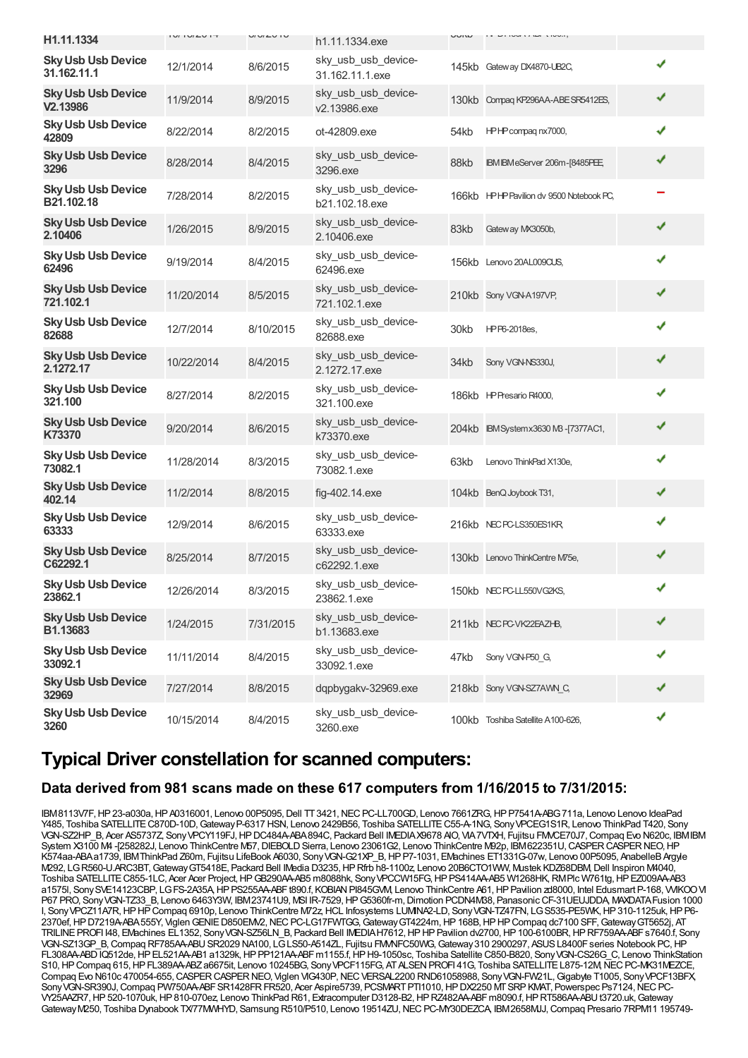| H1.11.1334                                        | $1 \cup 1 \cup 1 \cup 1 \cup 1 \top$ | $U1U1U1U$ | h1.11.1334.exe                         | UUIW | $11$ $V1100111W1$ $T10011$               |   |
|---------------------------------------------------|--------------------------------------|-----------|----------------------------------------|------|------------------------------------------|---|
| <b>Sky Usb Usb Device</b><br>31.162.11.1          | 12/1/2014                            | 8/6/2015  | sky_usb_usb_device-<br>31.162.11.1.exe |      | 145kb Gateway DX4870-UB2C.               | ✔ |
| <b>Sky Usb Usb Device</b><br>V <sub>2.13986</sub> | 11/9/2014                            | 8/9/2015  | sky_usb_usb_device-<br>v2.13986.exe    |      | 130kb Compag KP296AA-ABE SR5412ES,       | ✔ |
| <b>Sky Usb Usb Device</b><br>42809                | 8/22/2014                            | 8/2/2015  | ot-42809.exe                           | 54kb | HPHP compagnx7000,                       | ✔ |
| <b>Sky Usb Usb Device</b><br>3296                 | 8/28/2014                            | 8/4/2015  | sky_usb_usb_device-<br>3296.exe        | 88kb | IBM IBM eServer 206m-[8485PEE,           | ✔ |
| <b>Sky Usb Usb Device</b><br>B21.102.18           | 7/28/2014                            | 8/2/2015  | sky_usb_usb_device-<br>b21.102.18.exe  |      | 166kb HPHP Pavilion dv 9500 Notebook PC, |   |
| <b>Sky Usb Usb Device</b><br>2.10406              | 1/26/2015                            | 8/9/2015  | sky_usb_usb_device-<br>2.10406.exe     | 83kb | Gateway MX3050b,                         | ✔ |
| <b>Sky Usb Usb Device</b><br>62496                | 9/19/2014                            | 8/4/2015  | sky_usb_usb_device-<br>62496.exe       |      | 156kb Lenovo 20AL009CUS,                 | ✔ |
| <b>Sky Usb Usb Device</b><br>721.102.1            | 11/20/2014                           | 8/5/2015  | sky usb usb device-<br>721.102.1.exe   |      | 210kb Sony VGN-A197VP,                   | ✔ |
| <b>Sky Usb Usb Device</b><br>82688                | 12/7/2014                            | 8/10/2015 | sky usb usb device-<br>82688.exe       | 30kb | HP P6-2018es.                            | ✔ |
| <b>Sky Usb Usb Device</b><br>2.1272.17            | 10/22/2014                           | 8/4/2015  | sky_usb_usb_device-<br>2.1272.17.exe   | 34kb | Sony VGN-NS330J,                         | ✔ |
| <b>Sky Usb Usb Device</b><br>321.100              | 8/27/2014                            | 8/2/2015  | sky_usb_usb_device-<br>321.100.exe     |      | 186kb HP Presario R4000,                 | ✔ |
| <b>Sky Usb Usb Device</b><br>K73370               | 9/20/2014                            | 8/6/2015  | sky_usb_usb_device-<br>k73370.exe      |      | 204kb IBM System x 3630 MB - [7377AC1,   | ✔ |
| <b>Sky Usb Usb Device</b><br>73082.1              | 11/28/2014                           | 8/3/2015  | sky_usb_usb_device-<br>73082.1.exe     | 63kb | Lenovo ThinkPad X130e,                   | ✔ |
| <b>Sky Usb Usb Device</b><br>402.14               | 11/2/2014                            | 8/8/2015  | fig-402.14.exe                         |      | 104kb BenQ Joybook T31,                  | ✔ |
| <b>Sky Usb Usb Device</b><br>63333                | 12/9/2014                            | 8/6/2015  | sky_usb_usb_device-<br>63333.exe       |      | 216kb NECPC-LS350ES1KR                   | ✔ |
| <b>Sky Usb Usb Device</b><br>C62292.1             | 8/25/2014                            | 8/7/2015  | sky_usb_usb_device-<br>c62292.1.exe    |      | 130kb Lenovo ThinkCentre M75e,           | ✔ |
| <b>Sky Usb Usb Device</b><br>23862.1              | 12/26/2014                           | 8/3/2015  | sky_usb_usb_device-<br>23862.1.exe     |      | 150kb NEC PC-LL550VG2KS                  |   |
| <b>Sky Usb Usb Device</b><br>B1.13683             | 1/24/2015                            | 7/31/2015 | sky_usb_usb_device-<br>b1.13683.exe    |      | 211kb NEC PC-VK22EAZHB,                  | J |
| <b>Sky Usb Usb Device</b><br>33092.1              | 11/11/2014                           | 8/4/2015  | sky usb usb device-<br>33092.1.exe     | 47kb | Sony VGN-P50 G.                          |   |
| <b>Sky Usb Usb Device</b><br>32969                | 7/27/2014                            | 8/8/2015  | dqpbygakv-32969.exe                    |      | 218kb Sony VGN-SZ7AWN C,                 |   |
| <b>Sky Usb Usb Device</b><br>3260                 | 10/15/2014                           | 8/4/2015  | sky usb usb device-<br>3260.exe        |      | 100kb Toshiba Satellite A100-626,        |   |

## **Typical Driver constellation for scanned computers:**

#### **Data derived from 981 scans made on these 617 computers from 1/16/2015 to 7/31/2015:**

IBM8113V7F, HP 23-a030a, HP A0316001, Lenovo 00P5095, Dell TT 3421, NEC PC-LL700GD, Lenovo 7661ZRG, HP P7541A-ABG 711a, Lenovo Lenovo IdeaPad Y485, Toshiba SATELLITE C870D-10D, Gateway P-6317 HSN, Lenovo 2429B56, Toshiba SATELLITE C55-A-1NG, Sony VPCEG1S1R, Lenovo ThinkPad T420, Sony VGN-SZ2HP\_B, Acer AS5737Z, SonyVPCY119FJ,HPDC484A-ABA894C, Packard Bell IMEDIAX9678 AIO, VIA7VTXH, Fujitsu FMVCE70J7,Compaq Evo N620c, IBMIBM System X3100 M4 -[258282J, Lenovo ThinkCentre M57, DIEBOLD Sierra, Lenovo 23061G2, Lenovo ThinkCentre M92p, IBM622351U, CASPER CASPER NEO, HP K574aa-ABAa1739, IBMThinkPad Z60m, Fujitsu LifeBook A6030, Sony VGN-G21XP B, HP P7-1031, EMachines ET1331G-07w, Lenovo 00P5095, AnabelleB Argyle M292, LGR560-U.ARC3BT,GatewayGT5418E, Packard Bell IMedia D3235,HPRfrb h8-1100z, Lenovo 20B6CTO1WW, Mustek KDZ68DBM,Dell Inspiron M4040, Toshiba SATELLITE C855-1LC, Acer Acer Project, HP GB290AA-AB5 m8088hk, Sony VPCCW15FG, HP PS414AA-AB5 W1268HK, RMPlc W761tg, HP EZ009AA-AB3 a1575l, SonySVE14123CBP, LGFS-2A35A,HPPS255AA-ABFt890.f, KOBIANPI845GVM, Lenovo ThinkCentre A61,HPPavilion zd8000, Intel Edusmart P-168, VVIKOOVI P67 PRO, Sony VGN-TZ33 B, Lenovo 6463Y3W, IBM23741U9, MSI IR-7529, HP G5360fr-m, Dimotion PCDN4M38, Panasonic CF-31UEUJDDA, MAXDATA Fusion 1000 I, SonyVPCZ11A7R,HPHPCompaq 6910p, Lenovo ThinkCentre M72z,HCL Infosystems LUMINA2-LD, SonyVGN-TZ47FN, LGS535-PE5WK,HP310-1125uk,HPP6- 2370ef,HPD7219A-ABA555Y, ViglenGENIED850EMV2,NECPC-LG17FWTGG,GatewayGT4224m,HP168B,HPHPCompaq dc7100 SFF,GatewayGT5652j, AT TRILINEPROFI I48, EMachines EL1352, SonyVGN-SZ56LN\_B, Packard Bell IMEDIAH7612,HPHPPavilion dv2700,HP100-6100BR,HPRF759AA-ABFs7640.f, Sony VGN-SZ13GP\_B, Compaq RF785AA-ABU SR2029 NA100, LGLS50-A514ZL, Fujitsu FM/NFC50WG, Gateway 310 2900297, ASUS L8400F series Notebook PC, HP FL308AA-ABDIQ512de, HP EL521AA-AB1 a1329k, HP PP121AA-ABF m1155.f, HP H9-1050sc, Toshiba Satellite C850-B820, Sony VGN-CS26G\_C, Lenovo ThinkStation S10, HP Compaq 615, HP FL389AA-ABZ a6675it, Lenovo 10245BG, Sony VPCF115FG, AT ALSEN PROFI 41G, Toshiba SATELLITE L875-12M, NEC PC-MK31MEZCE, Compaq Evo N610c 470054-655, CASPER CASPER NEO, Viglen VIG430P, NEC VERSAL2200 RND61058988, Sony VGN-FW21L, Gigabyte T1005, Sony VPCF13BFX, Sony VGN-SR390J, Compaq PW750AA-ABFSR1428FR FR520, Acer Aspire5739, PCSMART PTI1010, HPDX2250 MTSRP KMAT, Powerspec Ps7124, NEC PC-VY25AAZR7, HP520-1070uk, HP810-070ez, Lenovo ThinkPad R61, Extracomputer D3128-B2, HPRZ482AA-ABFm8090.f, HPRT586AA-ABUt3720.uk, Gateway Gateway M250, Toshiba Dynabook TX/77MWHYD, Samsung R510/P510, Lenovo 19514ZU, NEC PC-MY30DEZCA, IBM 2658MJJ, Compaq Presario 7RPM11 195749